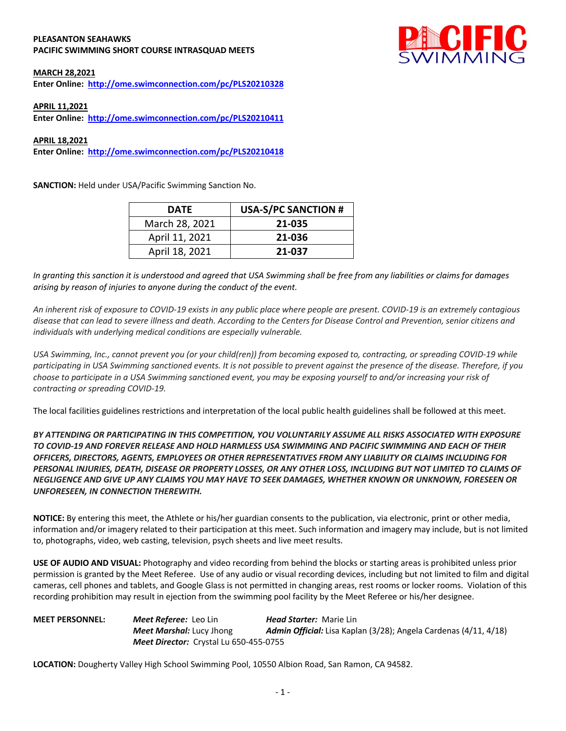#### **PLEASANTON SEAHAWKS PACIFIC SWIMMING SHORT COURSE INTRASQUAD MEETS**



### **MARCH 28,2021**

**Enter Online: http://ome.swimconnection.com/pc/PLS20210328**

## **APRIL 11,2021**

**Enter Online: http://ome.swimconnection.com/pc/PLS20210411**

#### **APRIL 18,2021**

**Enter Online: http://ome.swimconnection.com/pc/PLS20210418**

**SANCTION:** Held under USA/Pacific Swimming Sanction No.

| <b>DATE</b>    | <b>USA-S/PC SANCTION #</b> |
|----------------|----------------------------|
| March 28, 2021 | 21-035                     |
| April 11, 2021 | 21-036                     |
| April 18, 2021 | 21-037                     |

*In granting this sanction it is understood and agreed that USA Swimming shall be free from any liabilities or claims for damages arising by reason of injuries to anyone during the conduct of the event.* 

*An inherent risk of exposure to COVID-19 exists in any public place where people are present. COVID-19 is an extremely contagious disease that can lead to severe illness and death. According to the Centers for Disease Control and Prevention, senior citizens and individuals with underlying medical conditions are especially vulnerable.*

*USA Swimming, Inc., cannot prevent you (or your child(ren)) from becoming exposed to, contracting, or spreading COVID-19 while participating in USA Swimming sanctioned events. It is not possible to prevent against the presence of the disease. Therefore, if you choose to participate in a USA Swimming sanctioned event, you may be exposing yourself to and/or increasing your risk of contracting or spreading COVID-19.*

The local facilities guidelines restrictions and interpretation of the local public health guidelines shall be followed at this meet.

*BY ATTENDING OR PARTICIPATING IN THIS COMPETITION, YOU VOLUNTARILY ASSUME ALL RISKS ASSOCIATED WITH EXPOSURE TO COVID-19 AND FOREVER RELEASE AND HOLD HARMLESS USA SWIMMING AND PACIFIC SWIMMING AND EACH OF THEIR OFFICERS, DIRECTORS, AGENTS, EMPLOYEES OR OTHER REPRESENTATIVES FROM ANY LIABILITY OR CLAIMS INCLUDING FOR PERSONAL INJURIES, DEATH, DISEASE OR PROPERTY LOSSES, OR ANY OTHER LOSS, INCLUDING BUT NOT LIMITED TO CLAIMS OF NEGLIGENCE AND GIVE UP ANY CLAIMS YOU MAY HAVE TO SEEK DAMAGES, WHETHER KNOWN OR UNKNOWN, FORESEEN OR UNFORESEEN, IN CONNECTION THEREWITH.*

**NOTICE:** By entering this meet, the Athlete or his/her guardian consents to the publication, via electronic, print or other media, information and/or imagery related to their participation at this meet. Such information and imagery may include, but is not limited to, photographs, video, web casting, television, psych sheets and live meet results.

**USE OF AUDIO AND VISUAL:** Photography and video recording from behind the blocks or starting areas is prohibited unless prior permission is granted by the Meet Referee. Use of any audio or visual recording devices, including but not limited to film and digital cameras, cell phones and tablets, and Google Glass is not permitted in changing areas, rest rooms or locker rooms. Violation of this recording prohibition may result in ejection from the swimming pool facility by the Meet Referee or his/her designee.

**MEET PERSONNEL:** *Meet Referee:* Leo Lin *Head Starter:* Marie Lin *Meet Marshal:* Lucy Jhong *Admin Official:* Lisa Kaplan (3/28); Angela Cardenas (4/11, 4/18) *Meet Director:* Crystal Lu 650-455-0755

**LOCATION:** Dougherty Valley High School Swimming Pool, 10550 Albion Road, San Ramon, CA 94582.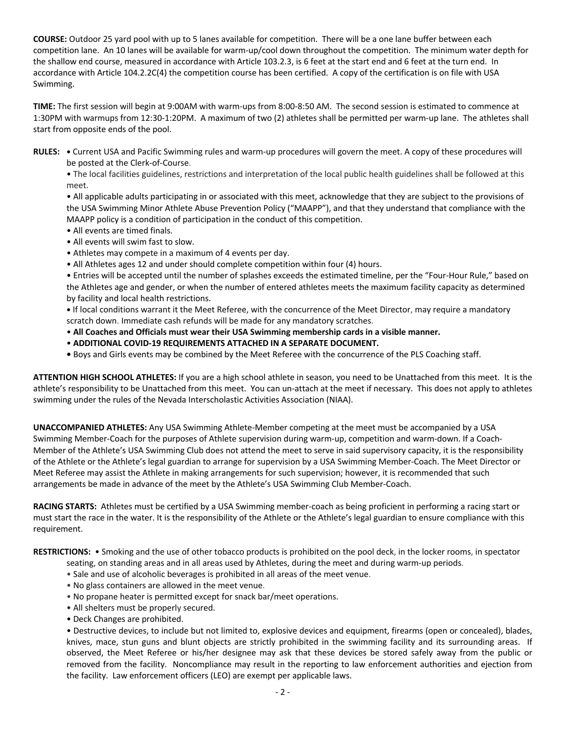**COURSE:** Outdoor 25 yard pool with up to 5 lanes available for competition.There will be a one lane buffer between each competition lane. An 10 lanes will be available for warm-up/cool down throughout the competition. The minimum water depth for the shallow end course, measured in accordance with Article 103.2.3, is 6 feet at the start end and 6 feet at the turn end. In accordance with Article 104.2.2C(4) the competition course has been certified. A copy of the certification is on file with USA Swimming.

**TIME:** The first session will begin at 9:00AM with warm-ups from 8:00-8:50 AM. The second session is estimated to commence at 1:30PM with warmups from 12:30-1:20PM. A maximum of two (2) athletes shall be permitted per warm-up lane. The athletes shall start from opposite ends of the pool.

**RULES: •** Current USA and Pacific Swimming rules and warm-up procedures will govern the meet. A copy of these procedures will be posted at the Clerk-of-Course.

• The local facilities guidelines, restrictions and interpretation of the local public health guidelines shall be followed at this meet.

• All applicable adults participating in or associated with this meet, acknowledge that they are subject to the provisions of the USA Swimming Minor Athlete Abuse Prevention Policy ("MAAPP"), and that they understand that compliance with the MAAPP policy is a condition of participation in the conduct of this competition.

- All events are timed finals.
- All events will swim fast to slow.
- Athletes may compete in a maximum of 4 events per day.
- All Athletes ages 12 and under should complete competition within four (4) hours.

• Entries will be accepted until the number of splashes exceeds the estimated timeline, per the "Four-Hour Rule," based on the Athletes age and gender, or when the number of entered athletes meets the maximum facility capacity as determined by facility and local health restrictions.

**•** If local conditions warrant it the Meet Referee, with the concurrence of the Meet Director, may require a mandatory scratch down. Immediate cash refunds will be made for any mandatory scratches.

- **All Coaches and Officials must wear their USA Swimming membership cards in a visible manner.**
- **ADDITIONAL COVID-19 REQUIREMENTS ATTACHED IN A SEPARATE DOCUMENT.**
- Boys and Girls events may be combined by the Meet Referee with the concurrence of the PLS Coaching staff.

**ATTENTION HIGH SCHOOL ATHLETES:** If you are a high school athlete in season, you need to be Unattached from this meet. It is the athlete's responsibility to be Unattached from this meet. You can un-attach at the meet if necessary. This does not apply to athletes swimming under the rules of the Nevada Interscholastic Activities Association (NIAA).

**UNACCOMPANIED ATHLETES:** Any USA Swimming Athlete-Member competing at the meet must be accompanied by a USA Swimming Member-Coach for the purposes of Athlete supervision during warm-up, competition and warm-down. If a Coach-Member of the Athlete's USA Swimming Club does not attend the meet to serve in said supervisory capacity, it is the responsibility of the Athlete or the Athlete's legal guardian to arrange for supervision by a USA Swimming Member-Coach. The Meet Director or Meet Referee may assist the Athlete in making arrangements for such supervision; however, it is recommended that such arrangements be made in advance of the meet by the Athlete's USA Swimming Club Member-Coach.

**RACING STARTS:** Athletes must be certified by a USA Swimming member-coach as being proficient in performing a racing start or must start the race in the water. It is the responsibility of the Athlete or the Athlete's legal guardian to ensure compliance with this requirement.

**RESTRICTIONS:** • Smoking and the use of other tobacco products is prohibited on the pool deck, in the locker rooms, in spectator

- seating, on standing areas and in all areas used by Athletes, during the meet and during warm-up periods.
- Sale and use of alcoholic beverages is prohibited in all areas of the meet venue.
- No glass containers are allowed in the meet venue.
- No propane heater is permitted except for snack bar/meet operations.
- All shelters must be properly secured.
- Deck Changes are prohibited.

• Destructive devices, to include but not limited to, explosive devices and equipment, firearms (open or concealed), blades, knives, mace, stun guns and blunt objects are strictly prohibited in the swimming facility and its surrounding areas. If observed, the Meet Referee or his/her designee may ask that these devices be stored safely away from the public or removed from the facility. Noncompliance may result in the reporting to law enforcement authorities and ejection from the facility. Law enforcement officers (LEO) are exempt per applicable laws.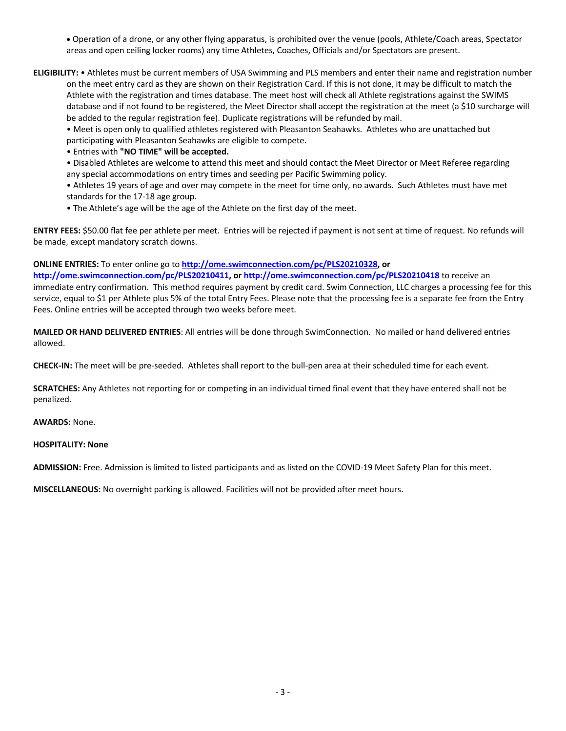• Operation of a drone, or any other flying apparatus, is prohibited over the venue (pools, Athlete/Coach areas, Spectator areas and open ceiling locker rooms) any time Athletes, Coaches, Officials and/or Spectators are present.

**ELIGIBILITY:** • Athletes must be current members of USA Swimming and PLS members and enter their name and registration number on the meet entry card as they are shown on their Registration Card. If this is not done, it may be difficult to match the Athlete with the registration and times database. The meet host will check all Athlete registrations against the SWIMS database and if not found to be registered, the Meet Director shall accept the registration at the meet (a \$10 surcharge will be added to the regular registration fee). Duplicate registrations will be refunded by mail.

• Meet is open only to qualified athletes registered with Pleasanton Seahawks. Athletes who are unattached but participating with Pleasanton Seahawks are eligible to compete.

• Entries with **"NO TIME" will be accepted.**

• Disabled Athletes are welcome to attend this meet and should contact the Meet Director or Meet Referee regarding any special accommodations on entry times and seeding per Pacific Swimming policy.

• Athletes 19 years of age and over may compete in the meet for time only, no awards. Such Athletes must have met standards for the 17-18 age group.

• The Athlete's age will be the age of the Athlete on the first day of the meet.

**ENTRY FEES:** \$50.00 flat fee per athlete per meet. Entries will be rejected if payment is not sent at time of request. No refunds will be made, except mandatory scratch downs.

# **ONLINE ENTRIES:** To enter online go to **http://ome.swimconnection.com/pc/PLS20210328, or**

**http://ome.swimconnection.com/pc/PLS20210411, or http://ome.swimconnection.com/pc/PLS20210418** to receive an immediate entry confirmation. This method requires payment by credit card. Swim Connection, LLC charges a processing fee for this service, equal to \$1 per Athlete plus 5% of the total Entry Fees. Please note that the processing fee is a separate fee from the Entry Fees. Online entries will be accepted through two weeks before meet.

**MAILED OR HAND DELIVERED ENTRIES**: All entries will be done through SwimConnection. No mailed or hand delivered entries allowed.

**CHECK-IN:** The meet will be pre-seeded. Athletes shall report to the bull-pen area at their scheduled time for each event.

**SCRATCHES:** Any Athletes not reporting for or competing in an individual timed final event that they have entered shall not be penalized.

**AWARDS:** None.

### **HOSPITALITY: None**

**ADMISSION:** Free. Admission is limited to listed participants and as listed on the COVID-19 Meet Safety Plan for this meet.

**MISCELLANEOUS:** No overnight parking is allowed. Facilities will not be provided after meet hours.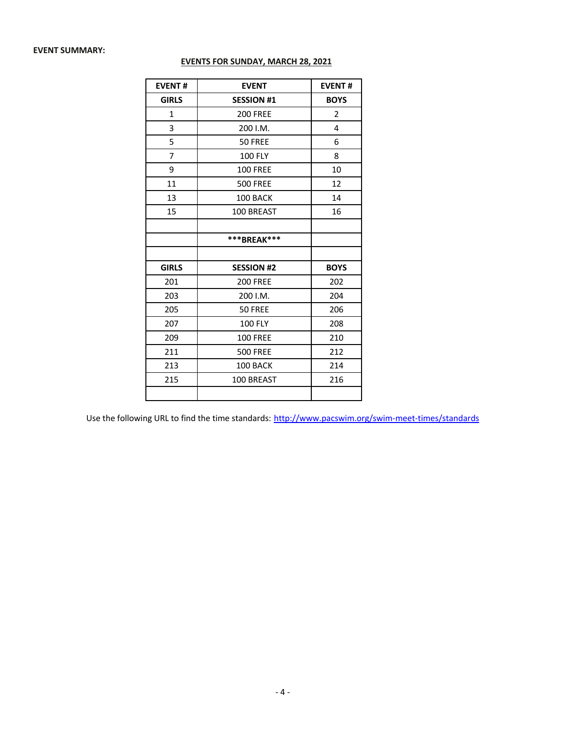## **EVENT SUMMARY:**

| <b>EVENTS FOR SUNDAY, MARCH 28, 2021</b> |  |
|------------------------------------------|--|
|------------------------------------------|--|

| <b>EVENT#</b> | <b>EVENT</b>      | <b>EVENT#</b> |
|---------------|-------------------|---------------|
| <b>GIRLS</b>  | <b>SESSION #1</b> | <b>BOYS</b>   |
| 1             | <b>200 FREE</b>   | 2             |
| 3             | 200 I.M.          | 4             |
| 5             | 50 FREE           | 6             |
| 7             | <b>100 FLY</b>    | 8             |
| 9             | <b>100 FREE</b>   | 10            |
| 11            | <b>500 FREE</b>   | 12            |
| 13            | 100 BACK          | 14            |
| 15            | 100 BREAST        | 16            |
|               |                   |               |
|               | ***BREAK***       |               |
|               |                   |               |
| <b>GIRLS</b>  | <b>SESSION #2</b> | <b>BOYS</b>   |
| 201           | <b>200 FREE</b>   | 202           |
| 203           | 200 I.M.          | 204           |
| 205           | 50 FREE           | 206           |
| 207           | <b>100 FLY</b>    | 208           |
| 209           | <b>100 FREE</b>   | 210           |
| 211           | <b>500 FREE</b>   | 212           |
| 213           | 100 BACK          | 214           |
| 215           | 100 BREAST        | 216           |
|               |                   |               |

Use the following URL to find the time standards: http://www.pacswim.org/swim-meet-times/standards